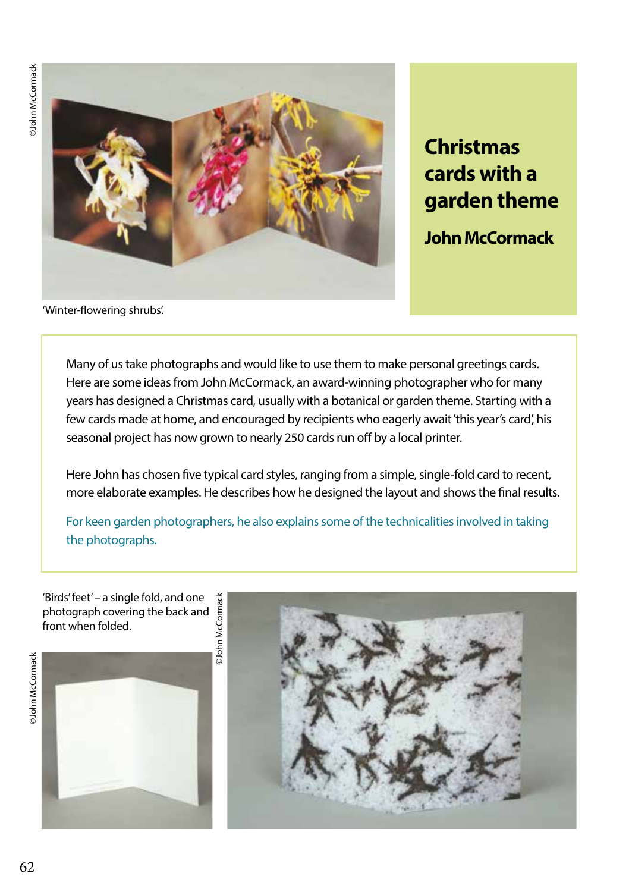©John McCormack ©John McCormack



**Christmas cards with a garden theme** 

**John McCormack** 

'Winter-flowering shrubs'.

Many of us take photographs and would like to use them to make personal greetings cards. Here are some ideas from John McCormack, an award-winning photographer who for many years has designed a Christmas card, usually with a botanical or garden theme. Starting with a few cards made at home, and encouraged by recipients who eagerly await 'this year's card', his seasonal project has now grown to nearly 250 cards run off by a local printer.

Here John has chosen five typical card styles, ranging from a simple, single-fold card to recent, more elaborate examples. He describes how he designed the layout and shows the final results.

For keen garden photographers, he also explains some of the technicalities involved in taking the photographs.

'Birds' feet' – a single fold, and one photograph covering the back and front when folded.



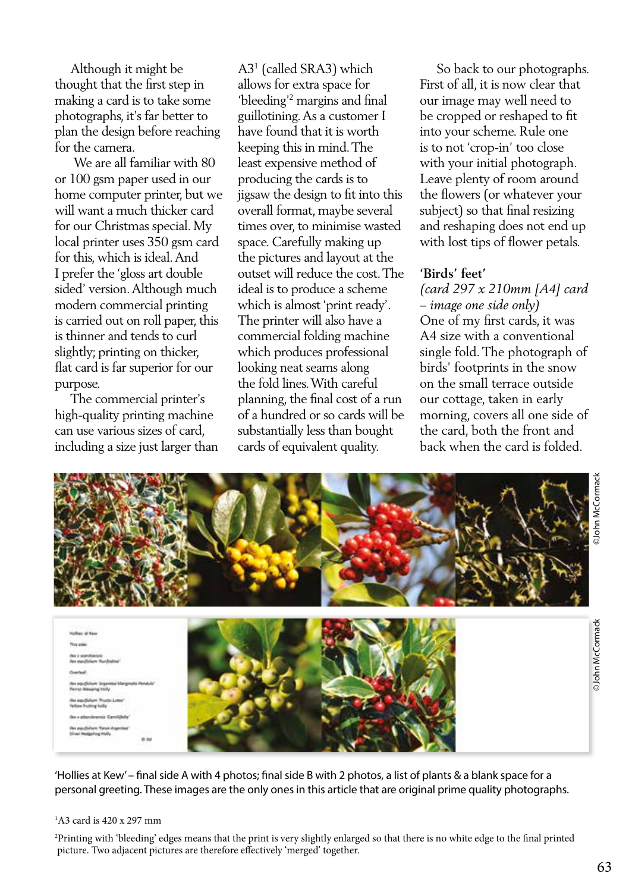Although it might be thought that the first step in making a card is to take some photographs, it's far better to plan the design before reaching for the camera.

 We are all familiar with 80 or 100 gsm paper used in our home computer printer, but we will want a much thicker card for our Christmas special. My local printer uses 350 gsm card for this, which is ideal. And I prefer the 'gloss art double sided' version. Although much modern commercial printing is carried out on roll paper, this is thinner and tends to curl slightly; printing on thicker, flat card is far superior for our purpose.

 The commercial printer's high-quality printing machine can use various sizes of card, including a size just larger than

A31 (called SRA3) which allows for extra space for 'bleeding'2 margins and final guillotining. As a customer I have found that it is worth keeping this in mind. The least expensive method of producing the cards is to jigsaw the design to fit into this overall format, maybe several times over, to minimise wasted space. Carefully making up the pictures and layout at the outset will reduce the cost. The ideal is to produce a scheme which is almost 'print ready'. The printer will also have a commercial folding machine which produces professional looking neat seams along the fold lines. With careful planning, the final cost of a run of a hundred or so cards will be substantially less than bought cards of equivalent quality.

 So back to our photographs. First of all, it is now clear that our image may well need to be cropped or reshaped to fit into your scheme. Rule one is to not 'crop-in' too close with your initial photograph. Leave plenty of room around the flowers (or whatever your subject) so that final resizing and reshaping does not end up with lost tips of flower petals.

## **'Birds' feet'**

*(card 297 x 210mm [A4] card – image one side only)* One of my first cards, it was A4 size with a conventional single fold. The photograph of birds' footprints in the snow on the small terrace outside our cottage, taken in early morning, covers all one side of the card, both the front and back when the card is folded.



'Hollies at Kew' – final side A with 4 photos; final side B with 2 photos, a list of plants & a blank space for a personal greeting. These images are the only ones in this article that are original prime quality photographs.

#### 1 A3 card is 420 x 297 mm

2 Printing with 'bleeding' edges means that the print is very slightly enlarged so that there is no white edge to the final printed picture. Two adjacent pictures are therefore effectively 'merged' together.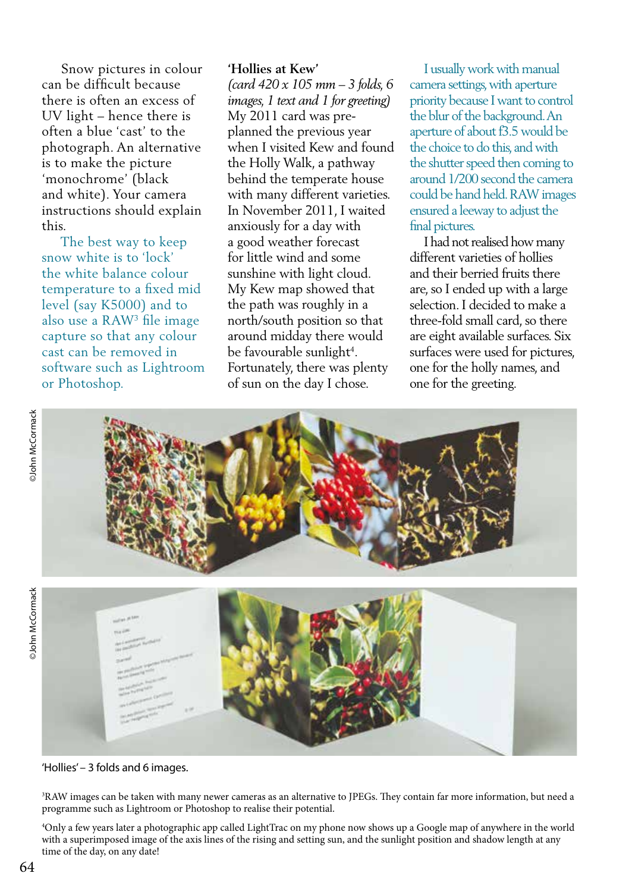Snow pictures in colour can be difficult because there is often an excess of UV light – hence there is often a blue 'cast' to the photograph. An alternative is to make the picture 'monochrome' (black and white). Your camera instructions should explain this.

 The best way to keep snow white is to 'lock' the white balance colour temperature to a fixed mid level (say K5000) and to also use a RAW3 file image capture so that any colour cast can be removed in software such as Lightroom or Photoshop.

### **'Hollies at Kew'**

*(card 420 x 105 mm – 3 folds, 6 images, 1 text and 1 for greeting)*  My 2011 card was preplanned the previous year when I visited Kew and found the Holly Walk, a pathway behind the temperate house with many different varieties. In November 2011, I waited anxiously for a day with a good weather forecast for little wind and some sunshine with light cloud. My Kew map showed that the path was roughly in a north/south position so that around midday there would be favourable sunlight<sup>4</sup>. Fortunately, there was plenty of sun on the day I chose.

 I usually work with manual camera settings, with aperture priority because I want to control the blur of the background. An aperture of about f3.5 would be the choice to do this, and with the shutter speed then coming to around 1/200 second the camera could be hand held. RAW images ensured a leeway to adjust the final pictures.

 I had not realised how many different varieties of hollies and their berried fruits there are, so I ended up with a large selection. I decided to make a three-fold small card, so there are eight available surfaces. Six surfaces were used for pictures, one for the holly names, and one for the greeting.



'Hollies' – 3 folds and 6 images.

3 RAW images can be taken with many newer cameras as an alternative to JPEGs. They contain far more information, but need a programme such as Lightroom or Photoshop to realise their potential.

4 Only a few years later a photographic app called LightTrac on my phone now shows up a Google map of anywhere in the world with a superimposed image of the axis lines of the rising and setting sun, and the sunlight position and shadow length at any time of the day, on any date!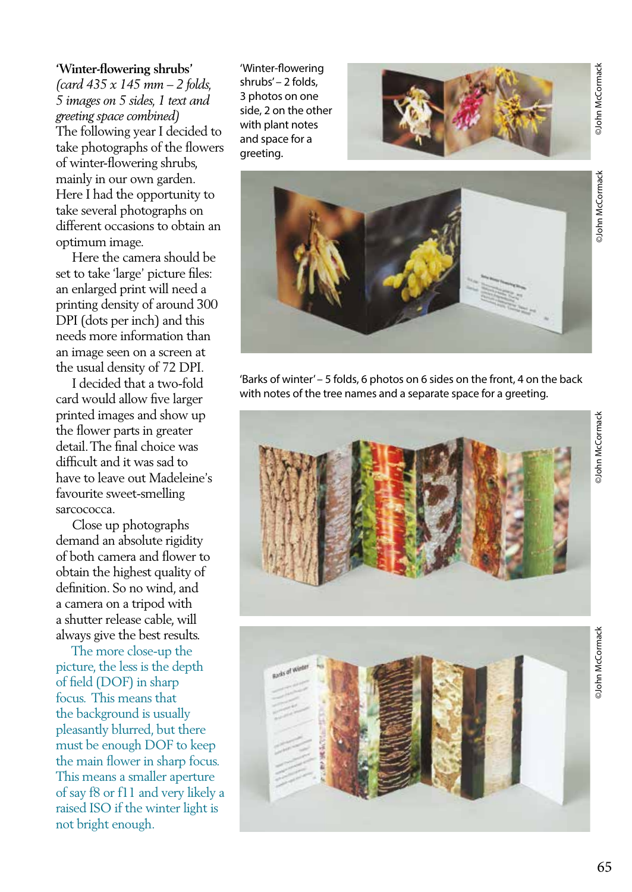## **'Winter-flowering shrubs'**

*(card 435 x 145 mm – 2 folds, 5 images on 5 sides, 1 text and greeting space combined)* The following year I decided to take photographs of the flowers of winter-flowering shrubs, mainly in our own garden. Here I had the opportunity to take several photographs on different occasions to obtain an optimum image.

 Here the camera should be set to take 'large' picture files: an enlarged print will need a printing density of around 300 DPI (dots per inch) and this needs more information than an image seen on a screen at the usual density of 72 DPI.

 I decided that a two-fold card would allow five larger printed images and show up the flower parts in greater detail. The final choice was difficult and it was sad to have to leave out Madeleine's favourite sweet-smelling sarcococca.

 Close up photographs demand an absolute rigidity of both camera and flower to obtain the highest quality of definition. So no wind, and a camera on a tripod with a shutter release cable, will always give the best results.

 The more close-up the picture, the less is the depth of field (DOF) in sharp focus. This means that the background is usually pleasantly blurred, but there must be enough DOF to keep the main flower in sharp focus. This means a smaller aperture of say f8 or f11 and very likely a raised ISO if the winter light is not bright enough.

'Winter-flowering shrubs' – 2 folds, 3 photos on one side, 2 on the other with plant notes and space for a greeting.





'Barks of winter' – 5 folds, 6 photos on 6 sides on the front, 4 on the back with notes of the tree names and a separate space for a greeting.